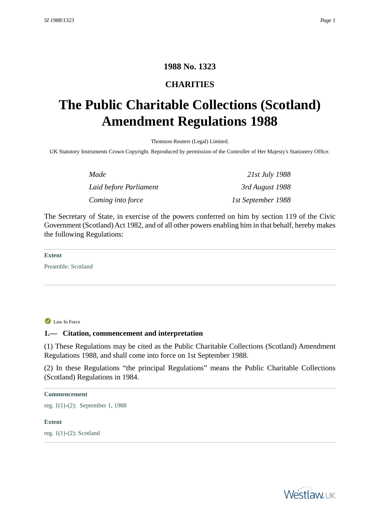# **1988 No. 1323**

# **CHARITIES**

# <span id="page-0-1"></span><span id="page-0-0"></span>**The Public Charitable Collections (Scotland) Amendment Regulations 1988**

Thomson Reuters (Legal) Limited.

UK Statutory Instruments Crown Copyright. Reproduced by permission of the Controller of Her Majesty's Stationery Office.

| Made                   | 21st July 1988     |
|------------------------|--------------------|
| Laid before Parliament | 3rd August 1988    |
| Coming into force      | 1st September 1988 |

The Secretary of State, in exercise of the powers conferred on him by section 119 of the Civic Government (Scotland) Act 1982, and of all other powers enabling him in that behalf, hereby makes the following Regulations:

**Extent**

<span id="page-0-2"></span>Preamble: Scotland

Law In Force

## **1.— Citation, commencement and interpretation**

(1) These Regulations may be cited as the Public Charitable Collections (Scotland) Amendment Regulations 1988, and shall come into force on 1st September 1988.

(2) In these Regulations "the principal Regulations" means the Public Charitable Collections (Scotland) Regulations in 1984.

#### **Commencement**

<span id="page-0-3"></span>reg. 1(1)-(2): September 1, 1988

#### **Extent**

reg. 1(1)-(2): Scotland

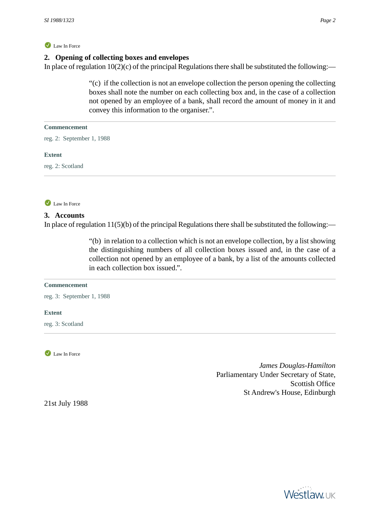## Law In Force

## **2. Opening of collecting boxes and envelopes**

In place of regulation  $10(2)(c)$  of the principal Regulations there shall be substituted the following:—

"(c) if the collection is not an envelope collection the person opening the collecting boxes shall note the number on each collecting box and, in the case of a collection not opened by an employee of a bank, shall record the amount of money in it and convey this information to the organiser.".

#### **Commencement**

reg. 2: September 1, 1988

#### **Extent**

<span id="page-1-0"></span>reg. 2: Scotland



# **3. Accounts**

In place of regulation  $11(5)(b)$  of the principal Regulations there shall be substituted the following:—

"(b) in relation to a collection which is not an envelope collection, by a list showing the distinguishing numbers of all collection boxes issued and, in the case of a collection not opened by an employee of a bank, by a list of the amounts collected in each collection box issued.".

#### **Commencement**

reg. 3: September 1, 1988

#### <span id="page-1-1"></span>**Extent**

reg. 3: Scotland

<span id="page-1-2"></span>Law In Force

*James Douglas-Hamilton* Parliamentary Under Secretary of State, Scottish Office St Andrew's House, Edinburgh

21st July 1988

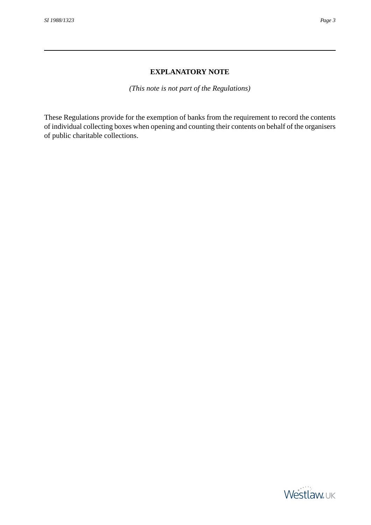## **EXPLANATORY NOTE**

*(This note is not part of the Regulations)*

<span id="page-2-0"></span>These Regulations provide for the exemption of banks from the requirement to record the contents of individual collecting boxes when opening and counting their contents on behalf of the organisers of public charitable collections.